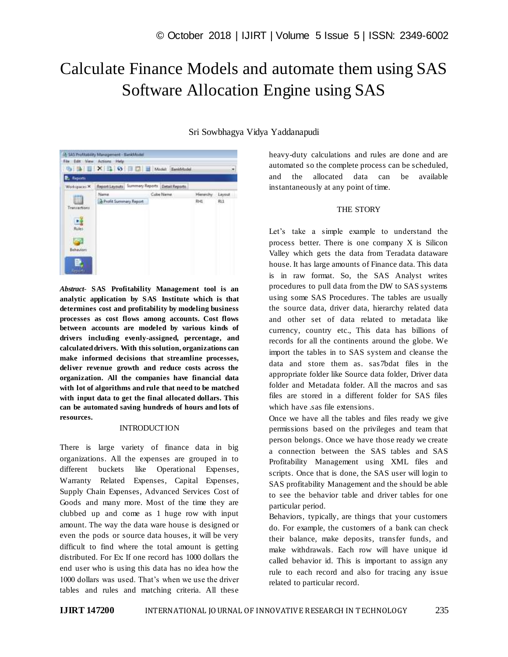# Calculate Finance Models and automate them using SAS Software Allocation Engine using SAS



*Abstract*- **SAS Profitability Management tool is an analytic application by SAS Institute which is that determines cost and profitability by modeling business processes as cost flows among accounts. Cost flows between accounts are modeled by various kinds of drivers including evenly-assigned, percentage, and calculated drivers. With this solution, organizations can make informed decisions that streamline processes, deliver revenue growth and reduce costs across the organization. All the companies have financial data with lot of algorithms and rule that need to be matched with input data to get the final allocated dollars. This can be automated saving hundreds of hours and lots of resources.**

### **INTRODUCTION**

There is large variety of finance data in big organizations. All the expenses are grouped in to different buckets like Operational Expenses, Warranty Related Expenses, Capital Expenses, Supply Chain Expenses, Advanced Services Cost of Goods and many more. Most of the time they are clubbed up and come as 1 huge row with input amount. The way the data ware house is designed or even the pods or source data houses, it will be very difficult to find where the total amount is getting distributed. For Ex: If one record has 1000 dollars the end user who is using this data has no idea how the 1000 dollars was used. That's when we use the driver tables and rules and matching criteria. All these

Sri Sowbhagya Vidya Yaddanapudi

heavy-duty calculations and rules are done and are automated so the complete process can be scheduled, and the allocated data can be available instantaneously at any point of time.

#### THE STORY

Let's take a simple example to understand the process better. There is one company X is Silicon Valley which gets the data from Teradata dataware house. It has large amounts of Finance data. This data is in raw format. So, the SAS Analyst writes procedures to pull data from the DW to SAS systems using some SAS Procedures. The tables are usually the source data, driver data, hierarchy related data and other set of data related to metadata like currency, country etc., This data has billions of records for all the continents around the globe. We import the tables in to SAS system and cleanse the data and store them as. sas7bdat files in the appropriate folder like Source data folder, Driver data folder and Metadata folder. All the macros and sas files are stored in a different folder for SAS files which have .sas file extensions.

Once we have all the tables and files ready we give permissions based on the privileges and team that person belongs. Once we have those ready we create a connection between the SAS tables and SAS Profitability Management using XML files and scripts. Once that is done, the SAS user will login to SAS profitability Management and the should be able to see the behavior table and driver tables for one particular period.

Behaviors, typically, are things that your customers do. For example, the customers of a bank can check their balance, make deposits, transfer funds, and make withdrawals. Each row will have unique id called behavior id. This is important to assign any rule to each record and also for tracing any issue related to particular record.